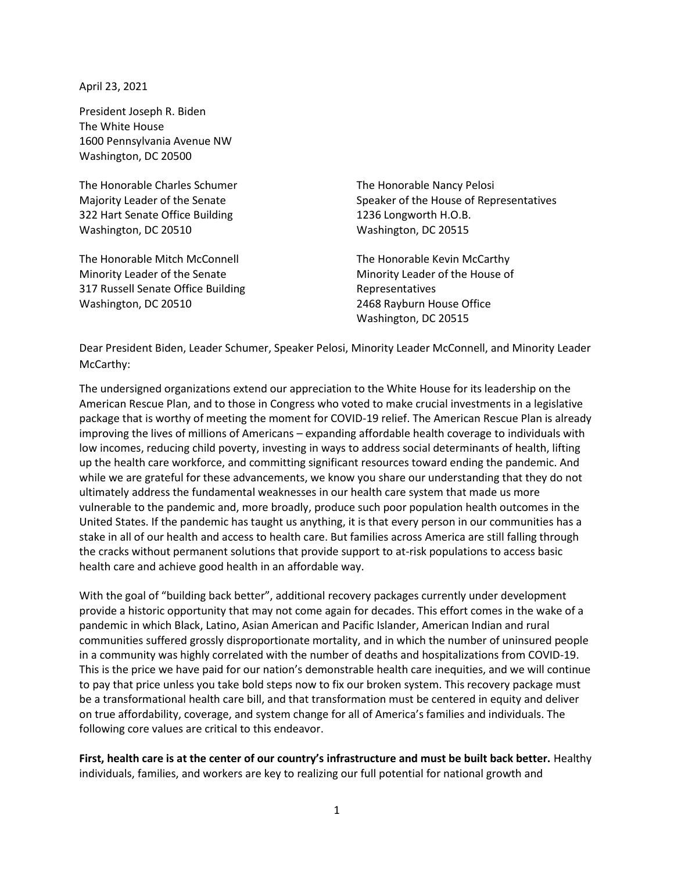April 23, 2021

President Joseph R. Biden The White House 1600 Pennsylvania Avenue NW Washington, DC 20500

The Honorable Charles Schumer Majority Leader of the Senate 322 Hart Senate Office Building Washington, DC 20510

The Honorable Mitch McConnell Minority Leader of the Senate 317 Russell Senate Office Building Washington, DC 20510

The Honorable Nancy Pelosi Speaker of the House of Representatives 1236 Longworth H.O.B. Washington, DC 20515

The Honorable Kevin McCarthy Minority Leader of the House of Representatives 2468 Rayburn House Office Washington, DC 20515

Dear President Biden, Leader Schumer, Speaker Pelosi, Minority Leader McConnell, and Minority Leader McCarthy:

The undersigned organizations extend our appreciation to the White House for its leadership on the American Rescue Plan, and to those in Congress who voted to make crucial investments in a legislative package that is worthy of meeting the moment for COVID-19 relief. The American Rescue Plan is already improving the lives of millions of Americans – expanding affordable health coverage to individuals with low incomes, reducing child poverty, investing in ways to address social determinants of health, lifting up the health care workforce, and committing significant resources toward ending the pandemic. And while we are grateful for these advancements, we know you share our understanding that they do not ultimately address the fundamental weaknesses in our health care system that made us more vulnerable to the pandemic and, more broadly, produce such poor population health outcomes in the United States. If the pandemic has taught us anything, it is that every person in our communities has a stake in all of our health and access to health care. But families across America are still falling through the cracks without permanent solutions that provide support to at-risk populations to access basic health care and achieve good health in an affordable way.

With the goal of "building back better", additional recovery packages currently under development provide a historic opportunity that may not come again for decades. This effort comes in the wake of a pandemic in which Black, Latino, Asian American and Pacific Islander, American Indian and rural communities suffered grossly disproportionate mortality, and in which the number of uninsured people in a community was highly correlated with the number of deaths and hospitalizations from COVID-19. This is the price we have paid for our nation's demonstrable health care inequities, and we will continue to pay that price unless you take bold steps now to fix our broken system. This recovery package must be a transformational health care bill, and that transformation must be centered in equity and deliver on true affordability, coverage, and system change for all of America's families and individuals. The following core values are critical to this endeavor.

**First, health care is at the center of our country's infrastructure and must be built back better.** Healthy individuals, families, and workers are key to realizing our full potential for national growth and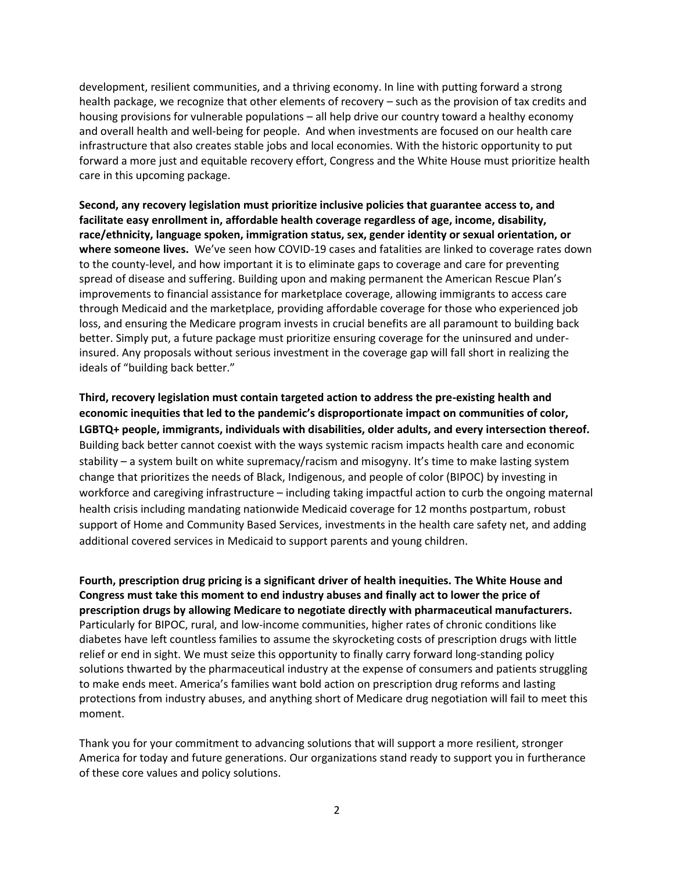development, resilient communities, and a thriving economy. In line with putting forward a strong health package, we recognize that other elements of recovery – such as the provision of tax credits and housing provisions for vulnerable populations – all help drive our country toward a healthy economy and overall health and well-being for people. And when investments are focused on our health care infrastructure that also creates stable jobs and local economies. With the historic opportunity to put forward a more just and equitable recovery effort, Congress and the White House must prioritize health care in this upcoming package.

**Second, any recovery legislation must prioritize inclusive policies that guarantee access to, and facilitate easy enrollment in, affordable health coverage regardless of age, income, disability, race/ethnicity, language spoken, immigration status, sex, gender identity or sexual orientation, or where someone lives.** We've seen how COVID-19 cases and fatalities are linked to coverage rates down to the county-level, and how important it is to eliminate gaps to coverage and care for preventing spread of disease and suffering. Building upon and making permanent the American Rescue Plan's improvements to financial assistance for marketplace coverage, allowing immigrants to access care through Medicaid and the marketplace, providing affordable coverage for those who experienced job loss, and ensuring the Medicare program invests in crucial benefits are all paramount to building back better. Simply put, a future package must prioritize ensuring coverage for the uninsured and underinsured. Any proposals without serious investment in the coverage gap will fall short in realizing the ideals of "building back better."

**Third, recovery legislation must contain targeted action to address the pre-existing health and economic inequities that led to the pandemic's disproportionate impact on communities of color, LGBTQ+ people, immigrants, individuals with disabilities, older adults, and every intersection thereof.**  Building back better cannot coexist with the ways systemic racism impacts health care and economic stability – a system built on white supremacy/racism and misogyny. It's time to make lasting system change that prioritizes the needs of Black, Indigenous, and people of color (BIPOC) by investing in workforce and caregiving infrastructure – including taking impactful action to curb the ongoing maternal health crisis including mandating nationwide Medicaid coverage for 12 months postpartum, robust support of Home and Community Based Services, investments in the health care safety net, and adding additional covered services in Medicaid to support parents and young children.

**Fourth, prescription drug pricing is a significant driver of health inequities. The White House and Congress must take this moment to end industry abuses and finally act to lower the price of prescription drugs by allowing Medicare to negotiate directly with pharmaceutical manufacturers.**  Particularly for BIPOC, rural, and low-income communities, higher rates of chronic conditions like diabetes have left countless families to assume the skyrocketing costs of prescription drugs with little relief or end in sight. We must seize this opportunity to finally carry forward long-standing policy solutions thwarted by the pharmaceutical industry at the expense of consumers and patients struggling to make ends meet. America's families want bold action on prescription drug reforms and lasting protections from industry abuses, and anything short of Medicare drug negotiation will fail to meet this moment.

Thank you for your commitment to advancing solutions that will support a more resilient, stronger America for today and future generations. Our organizations stand ready to support you in furtherance of these core values and policy solutions.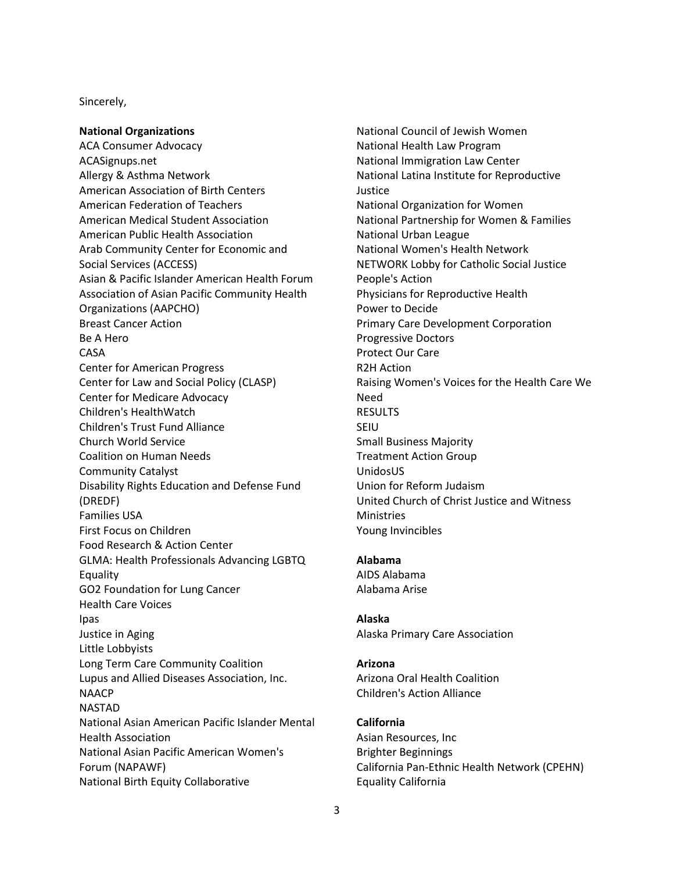## Sincerely,

#### **National Organizations**

ACA Consumer Advocacy ACASignups.net Allergy & Asthma Network American Association of Birth Centers American Federation of Teachers American Medical Student Association American Public Health Association Arab Community Center for Economic and Social Services (ACCESS) Asian & Pacific Islander American Health Forum Association of Asian Pacific Community Health Organizations (AAPCHO) Breast Cancer Action Be A Hero CASA Center for American Progress Center for Law and Social Policy (CLASP) Center for Medicare Advocacy Children's HealthWatch Children's Trust Fund Alliance Church World Service Coalition on Human Needs Community Catalyst Disability Rights Education and Defense Fund (DREDF) Families USA First Focus on Children Food Research & Action Center GLMA: Health Professionals Advancing LGBTQ Equality GO2 Foundation for Lung Cancer Health Care Voices Ipas Justice in Aging Little Lobbyists Long Term Care Community Coalition Lupus and Allied Diseases Association, Inc. NAACP NASTAD National Asian American Pacific Islander Mental Health Association National Asian Pacific American Women's Forum (NAPAWF) National Birth Equity Collaborative

National Council of Jewish Women National Health Law Program National Immigration Law Center National Latina Institute for Reproductive Justice National Organization for Women National Partnership for Women & Families National Urban League National Women's Health Network NETWORK Lobby for Catholic Social Justice People's Action Physicians for Reproductive Health Power to Decide Primary Care Development Corporation Progressive Doctors Protect Our Care R2H Action Raising Women's Voices for the Health Care We Need RESULTS SEIU Small Business Majority Treatment Action Group UnidosUS Union for Reform Judaism United Church of Christ Justice and Witness **Ministries** Young Invincibles

#### **Alabama**

AIDS Alabama Alabama Arise

#### **Alaska**

Alaska Primary Care Association

## **Arizona**

Arizona Oral Health Coalition Children's Action Alliance

# **California**

Asian Resources, Inc Brighter Beginnings California Pan-Ethnic Health Network (CPEHN) Equality California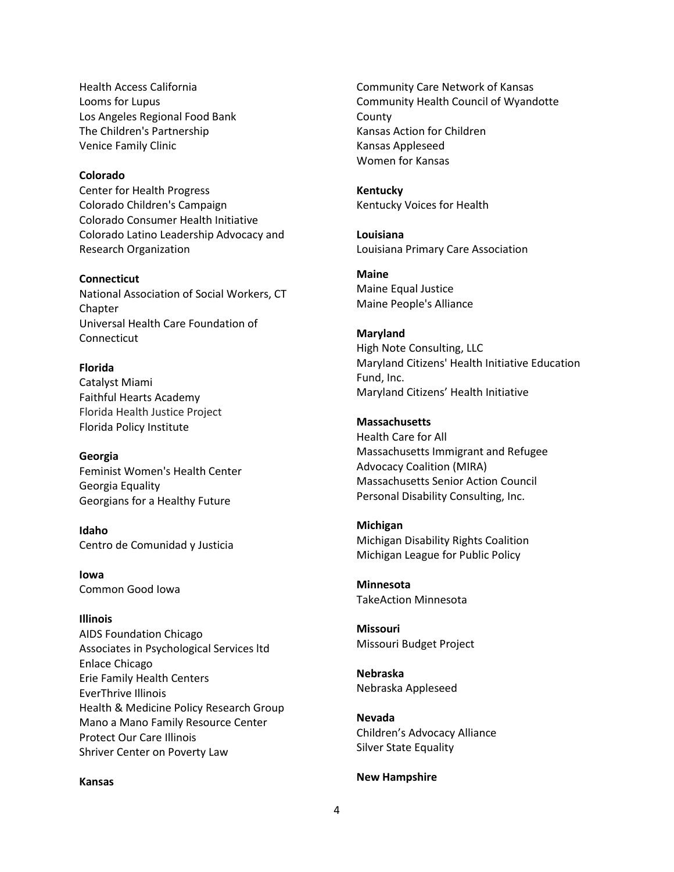Health Access California Looms for Lupus Los Angeles Regional Food Bank The Children's Partnership Venice Family Clinic

# **Colorado**

Center for Health Progress Colorado Children's Campaign Colorado Consumer Health Initiative Colorado Latino Leadership Advocacy and Research Organization

## **Connecticut**

National Association of Social Workers, CT Chapter Universal Health Care Foundation of **Connecticut** 

# **Florida**

Catalyst Miami Faithful Hearts Academy Florida Health Justice Project Florida Policy Institute

#### **Georgia**

Feminist Women's Health Center Georgia Equality Georgians for a Healthy Future

**Idaho** Centro de Comunidad y Justicia

**Iowa** Common Good Iowa

# **Illinois**

AIDS Foundation Chicago Associates in Psychological Services ltd Enlace Chicago Erie Family Health Centers EverThrive Illinois Health & Medicine Policy Research Group Mano a Mano Family Resource Center Protect Our Care Illinois Shriver Center on Poverty Law

#### **Kansas**

Community Care Network of Kansas Community Health Council of Wyandotte County Kansas Action for Children Kansas Appleseed Women for Kansas

# **Kentucky** Kentucky Voices for Health

**Louisiana**  Louisiana Primary Care Association

## **Maine**

Maine Equal Justice Maine People's Alliance

# **Maryland**

High Note Consulting, LLC Maryland Citizens' Health Initiative Education Fund, Inc. Maryland Citizens' Health Initiative

## **Massachusetts**

Health Care for All Massachusetts Immigrant and Refugee Advocacy Coalition (MIRA) Massachusetts Senior Action Council Personal Disability Consulting, Inc.

# **Michigan**

Michigan Disability Rights Coalition Michigan League for Public Policy

**Minnesota** TakeAction Minnesota

**Missouri** Missouri Budget Project

**Nebraska** Nebraska Appleseed

**Nevada** Children's Advocacy Alliance Silver State Equality

#### **New Hampshire**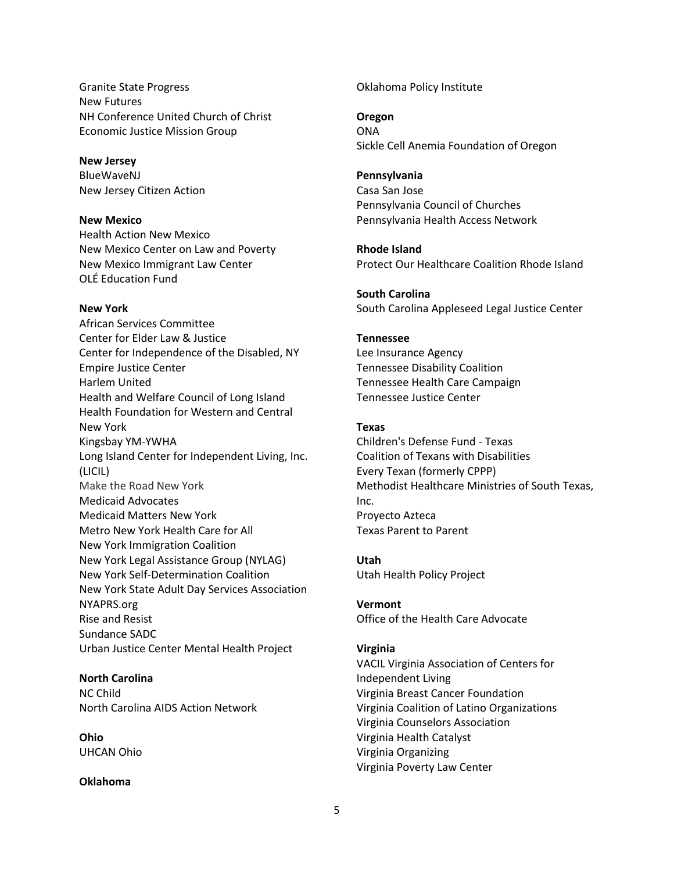Granite State Progress New Futures NH Conference United Church of Christ Economic Justice Mission Group

#### **New Jersey**

BlueWaveNJ New Jersey Citizen Action

## **New Mexico**

Health Action New Mexico New Mexico Center on Law and Poverty New Mexico Immigrant Law Center OLÉ Education Fund

## **New York**

African Services Committee Center for Elder Law & Justice Center for Independence of the Disabled, NY Empire Justice Center Harlem United Health and Welfare Council of Long Island Health Foundation for Western and Central New York Kingsbay YM-YWHA Long Island Center for Independent Living, Inc. (LICIL) Make the Road New York Medicaid Advocates Medicaid Matters New York Metro New York Health Care for All New York Immigration Coalition New York Legal Assistance Group (NYLAG) New York Self-Determination Coalition New York State Adult Day Services Association NYAPRS.org Rise and Resist Sundance SADC Urban Justice Center Mental Health Project

# **North Carolina**

NC Child North Carolina AIDS Action Network

**Ohio** UHCAN Ohio

# **Oklahoma**

Oklahoma Policy Institute

# **Oregon**

ONA Sickle Cell Anemia Foundation of Oregon

# **Pennsylvania**

Casa San Jose Pennsylvania Council of Churches Pennsylvania Health Access Network

**Rhode Island** Protect Our Healthcare Coalition Rhode Island

**South Carolina** South Carolina Appleseed Legal Justice Center

# **Tennessee**

Lee Insurance Agency Tennessee Disability Coalition Tennessee Health Care Campaign Tennessee Justice Center

## **Texas**

Children's Defense Fund - Texas Coalition of Texans with Disabilities Every Texan (formerly CPPP) Methodist Healthcare Ministries of South Texas, Inc. Proyecto Azteca Texas Parent to Parent

### **Utah**

Utah Health Policy Project

# **Vermont**

Office of the Health Care Advocate

# **Virginia**

VACIL Virginia Association of Centers for Independent Living Virginia Breast Cancer Foundation Virginia Coalition of Latino Organizations Virginia Counselors Association Virginia Health Catalyst Virginia Organizing Virginia Poverty Law Center